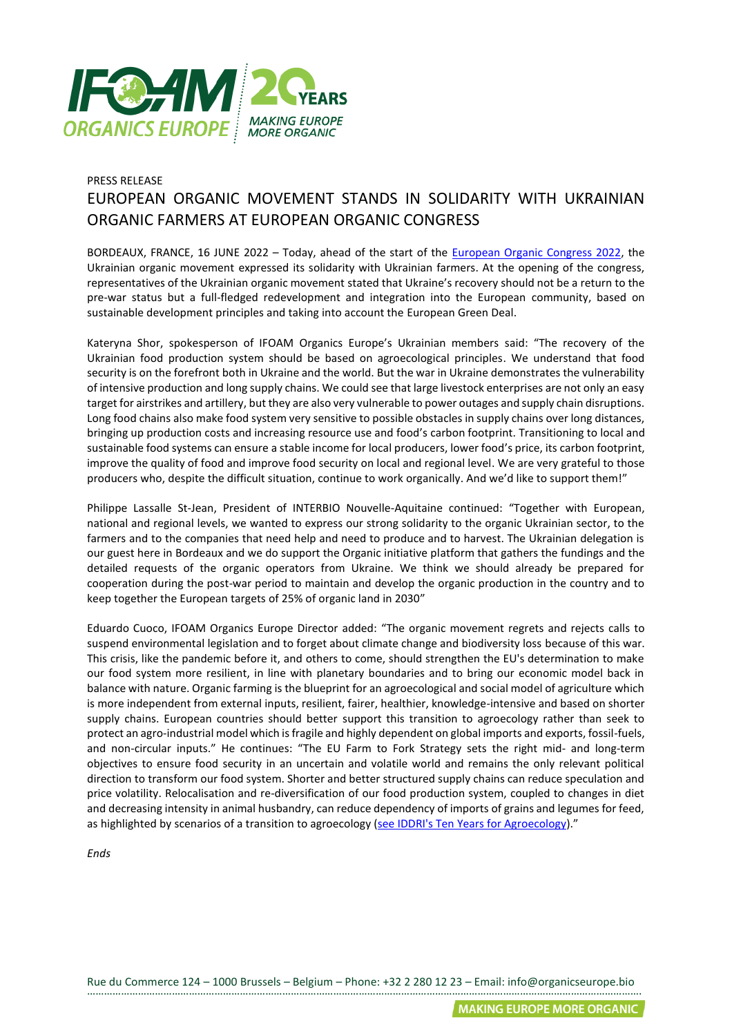

## PRESS RELEASE EUROPEAN ORGANIC MOVEMENT STANDS IN SOLIDARITY WITH UKRAINIAN ORGANIC FARMERS AT EUROPEAN ORGANIC CONGRESS

BORDEAUX, FRANCE, 16 JUNE 2022 – Today, ahead of the start of the [European Organic Congress 2022,](http://europeanorganiccongress.bio/) the Ukrainian organic movement expressed its solidarity with Ukrainian farmers. At the opening of the congress, representatives of the Ukrainian organic movement stated that Ukraine's recovery should not be a return to the pre-war status but a full-fledged redevelopment and integration into the European community, based on sustainable development principles and taking into account the European Green Deal.

Kateryna Shor, spokesperson of IFOAM Organics Europe's Ukrainian members said: "The recovery of the Ukrainian food production system should be based on agroecological principles. We understand that food security is on the forefront both in Ukraine and the world. But the war in Ukraine demonstrates the vulnerability of intensive production and long supply chains. We could see that large livestock enterprises are not only an easy target for airstrikes and artillery, but they are also very vulnerable to power outages and supply chain disruptions. Long food chains also make food system very sensitive to possible obstacles in supply chains over long distances, bringing up production costs and increasing resource use and food's carbon footprint. Transitioning to local and sustainable food systems can ensure a stable income for local producers, lower food's price, its carbon footprint, improve the quality of food and improve food security on local and regional level. We are very grateful to those producers who, despite the difficult situation, continue to work organically. And we'd like to support them!"

Philippe Lassalle St-Jean, President of INTERBIO Nouvelle-Aquitaine continued: "Together with European, national and regional levels, we wanted to express our strong solidarity to the organic Ukrainian sector, to the farmers and to the companies that need help and need to produce and to harvest. The Ukrainian delegation is our guest here in Bordeaux and we do support the Organic initiative platform that gathers the fundings and the detailed requests of the organic operators from Ukraine. We think we should already be prepared for cooperation during the post-war period to maintain and develop the organic production in the country and to keep together the European targets of 25% of organic land in 2030"

Eduardo Cuoco, IFOAM Organics Europe Director added: "The organic movement regrets and rejects calls to suspend environmental legislation and to forget about climate change and biodiversity loss because of this war. This crisis, like the pandemic before it, and others to come, should strengthen the EU's determination to make our food system more resilient, in line with planetary boundaries and to bring our economic model back in balance with nature. Organic farming is the blueprint for an agroecological and social model of agriculture which is more independent from external inputs, resilient, fairer, healthier, knowledge-intensive and based on shorter supply chains. European countries should better support this transition to agroecology rather than seek to protect an agro-industrial model which is fragile and highly dependent on global imports and exports, fossil-fuels, and non-circular inputs." He continues: "The EU Farm to Fork Strategy sets the right mid- and long-term objectives to ensure food security in an uncertain and volatile world and remains the only relevant political direction to transform our food system. Shorter and better structured supply chains can reduce speculation and price volatility. Relocalisation and re-diversification of our food production system, coupled to changes in diet and decreasing intensity in animal husbandry, can reduce dependency of imports of grains and legumes for feed, as highlighted by scenarios of a transition to agroecology [\(see IDDRI's Ten Years for Agroecology\)](https://www.iddri.org/sites/default/files/PDF/Publications/Catalogue%20Iddri/Etude/201809-ST0918EN-tyfa.pdf)."

*Ends*

Rue du Commerce 124 – 1000 Brussels – Belgium – Phone: +32 2 280 12 23 – Email: info@organicseurope.bio …………………………………………………………………………………………………………………………………………………………………………….